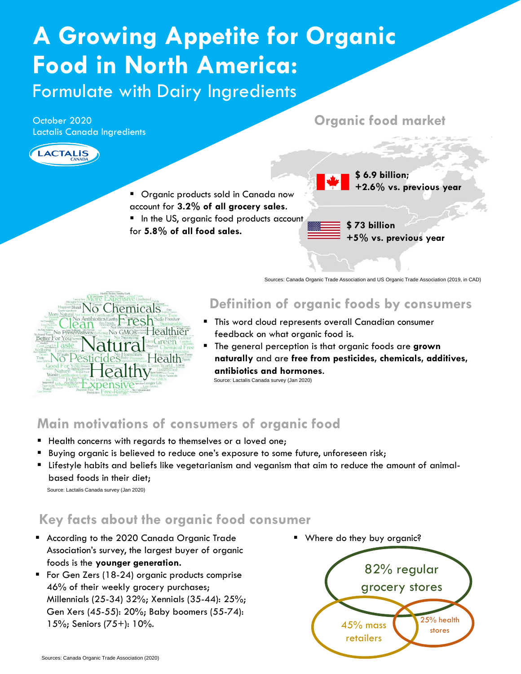# **A Growing Appetite for Organic Food in North America:**

Formulate with Dairy Ingredients

October 2020 Lactalis Canada Ingredients

**ACTALIS** 

#### **Organic food market**



Sources: Canada Organic Trade Association and US Organic Trade Association (2019, in CAD)



#### **Definition of organic foods by consumers**

- This word cloud represents overall Canadian consumer feedback on what organic food is.
- The general perception is that organic foods are **grown naturally** and are **free from pesticides, chemicals, additives, antibiotics and hormones**.

Source: Lactalis Canada survey (Jan 2020)

## **Main motivations of consumers of organic food**

- Health concerns with regards to themselves or a loved one;
- Buying organic is believed to reduce one's exposure to some future, unforeseen risk;
- Lifestyle habits and beliefs like vegetarianism and veganism that aim to reduce the amount of animalbased foods in their diet;

Source: Lactalis Canada survey (Jan 2020)

## **Key facts about the organic food consumer**

- According to the 2020 Canada Organic Trade Association's survey, the largest buyer of organic foods is the **younger generation.**
- For Gen Zers (18-24) organic products comprise 46% of their weekly grocery purchases; Millennials (25-34) 32%; Xennials (35-44): 25%; Gen Xers (45-55): 20%; Baby boomers (55-74): 15%; Seniors (75+): 10%.
- **■** Where do they buy organic?